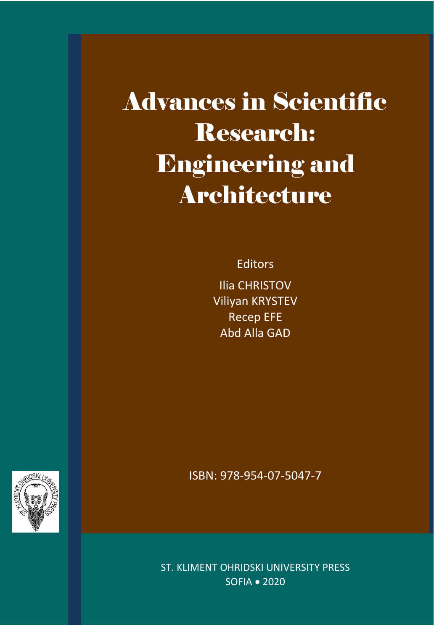Advances in Scientific Research: Engineering and Architecture

Editors

Ilia CHRISTOV Viliyan KRYSTEV Recep EFE Abd Alla GAD

ISBN: 978-954-07-5047-7

ST. KLIMENT OHRIDSKI UNIVERSITY PRESS SOFIA • 2020

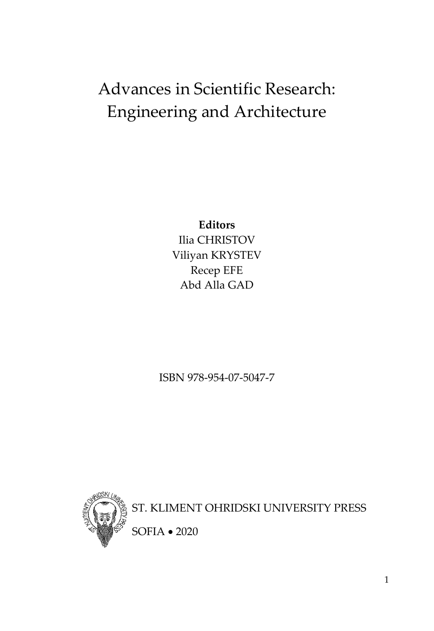# Advances in Scientific Research: Engineering and Architecture

**Editors** Ilia CHRISTOV Viliyan KRYSTEV Recep EFE Abd Alla GAD

ISBN 978-954-07-5047-7



ST. KLIMENT OHRIDSKI UNIVERSITY PRESS

SOFIA • 2020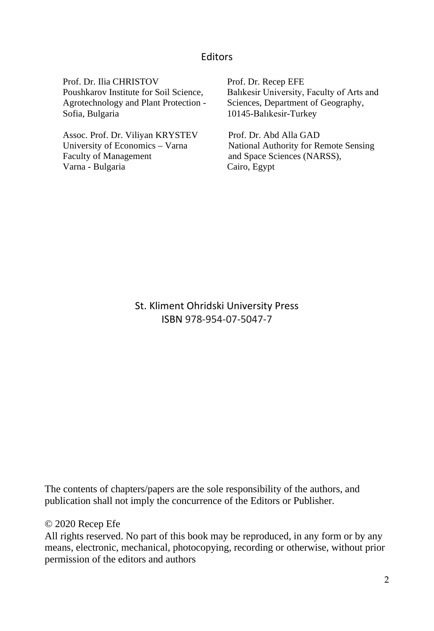#### **Editors**

Prof. Dr. Ilia CHRISTOV Poushkarov Institute for Soil Science, Agrotechnology and Plant Protection - Sofia, Bulgaria

Assoc. Prof. Dr. Viliyan KRYSTEV University of Economics – Varna Faculty of Management Varna - Bulgaria

Prof. Dr. Recep EFE Balıkesir University, Faculty of Arts and Sciences, Department of Geography, 10145-Balıkesir-Turkey

Prof. Dr. Abd Alla GAD National Authority for Remote Sensing and Space Sciences (NARSS), Cairo, Egypt

St. Kliment Ohridski University Press ISBN 978-954-07-5047-7

The contents of chapters/papers are the sole responsibility of the authors, and publication shall not imply the concurrence of the Editors or Publisher.

#### © 2020 Recep Efe

All rights reserved. No part of this book may be reproduced, in any form or by any means, electronic, mechanical, photocopying, recording or otherwise, without prior permission of the editors and authors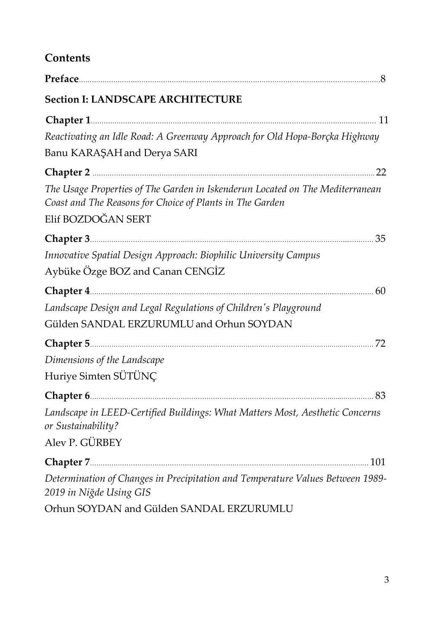# **Contents**

| <b>Section I: LANDSCAPE ARCHITECTURE</b>                                                                                                                        |  |
|-----------------------------------------------------------------------------------------------------------------------------------------------------------------|--|
|                                                                                                                                                                 |  |
| Reactivating an Idle Road: A Greenway Approach for Old Hopa-Borçka Highway                                                                                      |  |
| Banu KARAŞAH and Derya SARI                                                                                                                                     |  |
| Chapter 2 22                                                                                                                                                    |  |
| The Usage Properties of The Garden in Iskenderun Located on The Mediterranean<br>Coast and The Reasons for Choice of Plants in The Garden<br>Elif BOZDOĞAN SERT |  |
|                                                                                                                                                                 |  |
|                                                                                                                                                                 |  |
| Innovative Spatial Design Approach: Biophilic University Campus                                                                                                 |  |
| Aybüke Özge BOZ and Canan CENGİZ                                                                                                                                |  |
|                                                                                                                                                                 |  |
| Landscape Design and Legal Regulations of Children's Playground                                                                                                 |  |
| Gülden SANDAL ERZURUMLU and Orhun SOYDAN                                                                                                                        |  |
|                                                                                                                                                                 |  |
| Dimensions of the Landscape                                                                                                                                     |  |
| Huriye Simten SÜTÜNÇ                                                                                                                                            |  |
|                                                                                                                                                                 |  |
| Landscape in LEED-Certified Buildings: What Matters Most, Aesthetic Concerns<br>or Sustainability?                                                              |  |
| Alev P. GÜRBEY                                                                                                                                                  |  |
|                                                                                                                                                                 |  |
| Determination of Changes in Precipitation and Temperature Values Between 1989-<br>2019 in Niğde Using GIS                                                       |  |
| Orhun SOYDAN and Gülden SANDAL ERZURUMLU                                                                                                                        |  |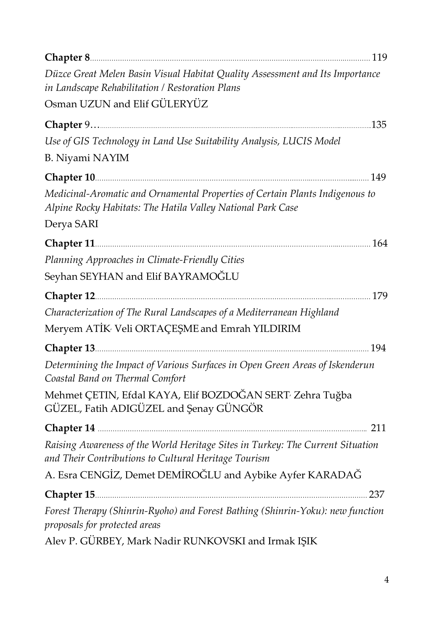| Düzce Great Melen Basin Visual Habitat Quality Assessment and Its Importance<br>in Landscape Rehabilitation / Restoration Plans                                                                                                |
|--------------------------------------------------------------------------------------------------------------------------------------------------------------------------------------------------------------------------------|
| Osman UZUN and Elif GÜLERYÜZ                                                                                                                                                                                                   |
|                                                                                                                                                                                                                                |
| Use of GIS Technology in Land Use Suitability Analysis, LUCIS Model                                                                                                                                                            |
| B. Niyami NAYIM                                                                                                                                                                                                                |
|                                                                                                                                                                                                                                |
| Medicinal-Aromatic and Ornamental Properties of Certain Plants Indigenous to<br>Alpine Rocky Habitats: The Hatila Valley National Park Case                                                                                    |
| Derya SARI                                                                                                                                                                                                                     |
| Chapter 11 [164] [164] [164] [164] [164] [164] [164] [164] [164] [164] [164] [164] [164] [164] [164] [164] [164] [164] [164] [164] [164] [164] [164] [164] [164] [164] [164] [164] [164] [164] [164] [164] [164] [164] [164] [ |
| Planning Approaches in Climate-Friendly Cities                                                                                                                                                                                 |
| Seyhan SEYHAN and Elif BAYRAMOĞLU                                                                                                                                                                                              |
| Chapter 12 [179] [179] [179] [179] [179] [179] [179] [179] [179] [179] [179] [179] [179] [179] [179] [179] [179] [179] [179] [179] [179] [179] [179] [179] [179] [179] [179] [179] [179] [179] [179] [179] [179] [179] [179] [ |
| Characterization of The Rural Landscapes of a Mediterranean Highland                                                                                                                                                           |
| Meryem ATİK Veli ORTAÇEŞME and Emrah YILDIRIM                                                                                                                                                                                  |
| Chapter 13 [194] [194] [194] [195] [195] [195] [195] [195] [195] [195] [195] [195] [195] [195] [195] [195] [195] [195] [195] [195] [195] [195] [195] [195] [195] [195] [195] [195] [195] [195] [195] [195] [195] [195] [195] [ |
| Determining the Impact of Various Surfaces in Open Green Areas of Iskenderun<br>Coastal Band on Thermal Comfort                                                                                                                |
| Mehmet ÇETIN, Efdal KAYA, Elif BOZDOĞAN SERT <sup>,</sup> Zehra Tuğba<br>GÜZEL, Fatih ADIGÜZEL and Şenay GÜNGÖR                                                                                                                |
| 211                                                                                                                                                                                                                            |
| Raising Awareness of the World Heritage Sites in Turkey: The Current Situation<br>and Their Contributions to Cultural Heritage Tourism                                                                                         |
| A. Esra CENGİZ, Demet DEMİROĞLU and Aybike Ayfer KARADAĞ                                                                                                                                                                       |
| Chapter 15<br>237                                                                                                                                                                                                              |
| Forest Therapy (Shinrin-Ryoho) and Forest Bathing (Shinrin-Yoku): new function<br>proposals for protected areas                                                                                                                |
| Alev P. GÜRBEY, Mark Nadir RUNKOVSKI and Irmak IŞIK                                                                                                                                                                            |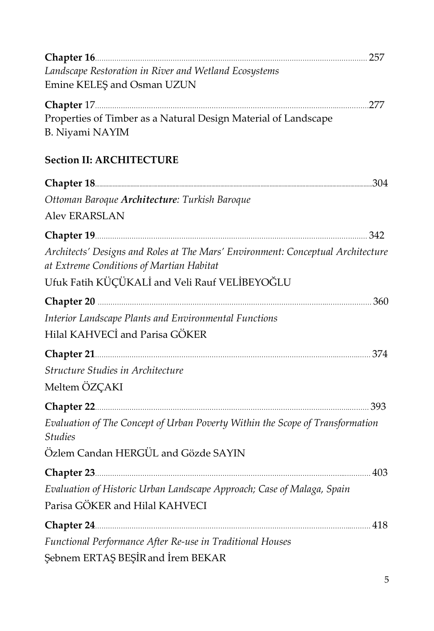| Chapter 16 257                                                                                                                                                                                                                                 |  |
|------------------------------------------------------------------------------------------------------------------------------------------------------------------------------------------------------------------------------------------------|--|
| Landscape Restoration in River and Wetland Ecosystems                                                                                                                                                                                          |  |
| Emine KELEŞ and Osman UZUN                                                                                                                                                                                                                     |  |
|                                                                                                                                                                                                                                                |  |
| Properties of Timber as a Natural Design Material of Landscape                                                                                                                                                                                 |  |
| B. Niyami NAYIM                                                                                                                                                                                                                                |  |
|                                                                                                                                                                                                                                                |  |
| <b>Section II: ARCHITECTURE</b>                                                                                                                                                                                                                |  |
|                                                                                                                                                                                                                                                |  |
| Ottoman Baroque Architecture: Turkish Baroque                                                                                                                                                                                                  |  |
| <b>Aley ERARSLAN</b>                                                                                                                                                                                                                           |  |
|                                                                                                                                                                                                                                                |  |
| Architects' Designs and Roles at The Mars' Environment: Conceptual Architecture                                                                                                                                                                |  |
| at Extreme Conditions of Martian Habitat                                                                                                                                                                                                       |  |
| Ufuk Fatih KÜÇÜKALİ and Veli Rauf VELİBEYOĞLU                                                                                                                                                                                                  |  |
|                                                                                                                                                                                                                                                |  |
|                                                                                                                                                                                                                                                |  |
| Interior Landscape Plants and Environmental Functions                                                                                                                                                                                          |  |
| Hilal KAHVECİ and Parisa GÖKER                                                                                                                                                                                                                 |  |
|                                                                                                                                                                                                                                                |  |
| Structure Studies in Architecture                                                                                                                                                                                                              |  |
| Meltem ÖZÇAKI                                                                                                                                                                                                                                  |  |
| Chapter 22 <u>[</u> [11] 23.393 [12] 23.393 [12] 24.35 [12] 24.35 [12] 25.393 [12] 25.393 [12] 25.393 [12] 25.393 [12] 25.393 [12] 25.393 [12] 25.393 [12] 25.393 [12] 25.393 [12] 25.393 [12] 25.393 [12] 25.393 [12] 25.393 [12] 2           |  |
| Evaluation of The Concept of Urban Poverty Within the Scope of Transformation                                                                                                                                                                  |  |
| <b>Studies</b>                                                                                                                                                                                                                                 |  |
| Özlem Candan HERGÜL and Gözde SAYIN                                                                                                                                                                                                            |  |
| Chapter 23 <u>[</u> [11] 403 [12] 403 <b>[12] 403</b> [12] 403 <b>[12] 403</b> [12] 404 [12] 405 [12] 405 [12] 405 [12] 405 [12] 407 [12] 407 [12] 407 [12] 407 [12] 407 [12] 407 [12] 407 [12] 407 [12] 407 [12] 407 [12] 407 [12] 407 [12] 4 |  |
| Evaluation of Historic Urban Landscape Approach; Case of Malaga, Spain                                                                                                                                                                         |  |
| Parisa GÖKER and Hilal KAHVECI                                                                                                                                                                                                                 |  |
| Chapter 24 2000 2000 218                                                                                                                                                                                                                       |  |
| Functional Performance After Re-use in Traditional Houses                                                                                                                                                                                      |  |
| Şebnem ERTAŞ BEŞİR and İrem BEKAR                                                                                                                                                                                                              |  |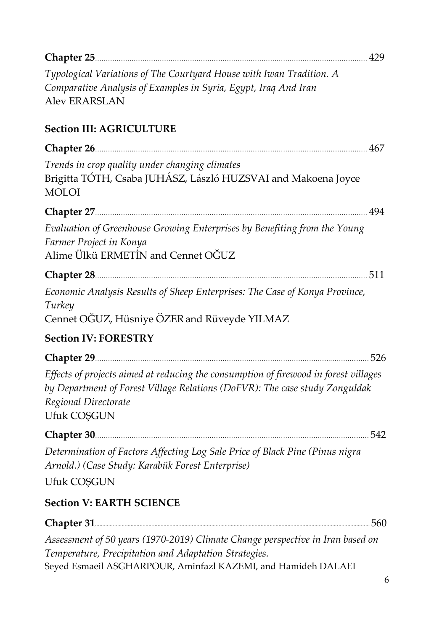| Chapter 25 <u>[</u> [11] 429 [12] 429 [12] 429 <b>[12] 429</b> [12] 429 <b>[12] 429</b> [12] 429 <b>[12] 429</b> [12] 429 <b>[12] 429</b> [12] 429 <b>[12] 429</b> [12] 429 [12] 429 [12] 429 [12] 429 [12] 429 [12] 429 [12] 429 [12] 429 [12] 429 [12] 429 |
|--------------------------------------------------------------------------------------------------------------------------------------------------------------------------------------------------------------------------------------------------------------|
| Typological Variations of The Courtyard House with Iwan Tradition. A<br>Comparative Analysis of Examples in Syria, Egypt, Iraq And Iran<br><b>Alev ERARSLAN</b>                                                                                              |
| <b>Section III: AGRICULTURE</b>                                                                                                                                                                                                                              |
|                                                                                                                                                                                                                                                              |
| Trends in crop quality under changing climates<br>Brigitta TÓTH, Csaba JUHÁSZ, László HUZSVAI and Makoena Joyce<br><b>MOLOI</b>                                                                                                                              |
| Chapter 27 <u>2008</u> 2014 2014 2022 2023 2024 2024 2034 204                                                                                                                                                                                                |
| Evaluation of Greenhouse Growing Enterprises by Benefiting from the Young<br>Farmer Project in Konya<br>Alime Ülkü ERMETİN and Cennet OĞUZ                                                                                                                   |
| .511                                                                                                                                                                                                                                                         |
| Economic Analysis Results of Sheep Enterprises: The Case of Konya Province,<br>Turkey<br>Cennet OGUZ, Hüsniye ÖZER and Rüveyde YILMAZ                                                                                                                        |
| <b>Section IV: FORESTRY</b>                                                                                                                                                                                                                                  |
| Chapter 29 526                                                                                                                                                                                                                                               |
| Effects of projects aimed at reducing the consumption of firewood in forest villages<br>by Department of Forest Village Relations (DoFVR): The case study Zonguldak<br>Regional Directorate<br>Ufuk COŞGUN                                                   |
| 542                                                                                                                                                                                                                                                          |
| Determination of Factors Affecting Log Sale Price of Black Pine (Pinus nigra<br>Arnold.) (Case Study: Karabük Forest Enterprise)                                                                                                                             |
| Ufuk COŞGUN                                                                                                                                                                                                                                                  |
| <b>Section V: EARTH SCIENCE</b>                                                                                                                                                                                                                              |
| 560<br>Chapter 31                                                                                                                                                                                                                                            |
| Assessment of 50 years (1970-2019) Climate Change perspective in Iran based on<br>Temperature, Precipitation and Adaptation Strategies.<br>Seyed Esmaeil ASGHARPOUR, Aminfazl KAZEMI, and Hamideh DALAEI                                                     |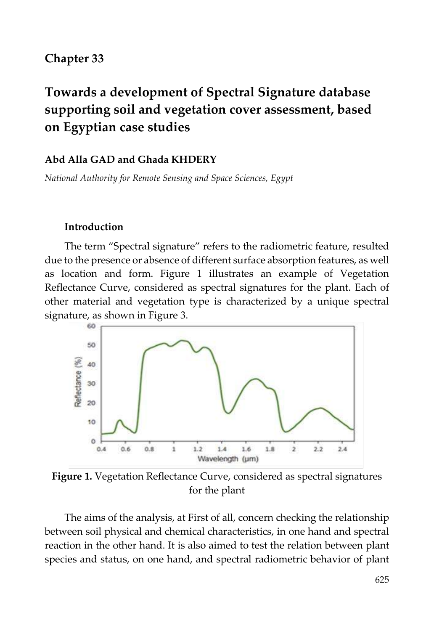### **Chapter 33**

# **Towards a development of Spectral Signature database supporting soil and vegetation cover assessment, based on Egyptian case studies**

#### **Abd Alla GAD and Ghada KHDERY**

*National Authority for Remote Sensing and Space Sciences, Egypt*

#### **Introduction**

The term "Spectral signature" refers to the radiometric feature, resulted due to the presence or absence of different surface absorption features, as well as location and form. Figure 1 illustrates an example of Vegetation Reflectance Curve, considered as spectral signatures for the plant. Each of other material and vegetation type is characterized by a unique spectral signature, as shown in Figure 3.



**Figure 1.** Vegetation Reflectance Curve, considered as spectral signatures for the plant

The aims of the analysis, at First of all, concern checking the relationship between soil physical and chemical characteristics, in one hand and spectral reaction in the other hand. It is also aimed to test the relation between plant species and status, on one hand, and spectral radiometric behavior of plant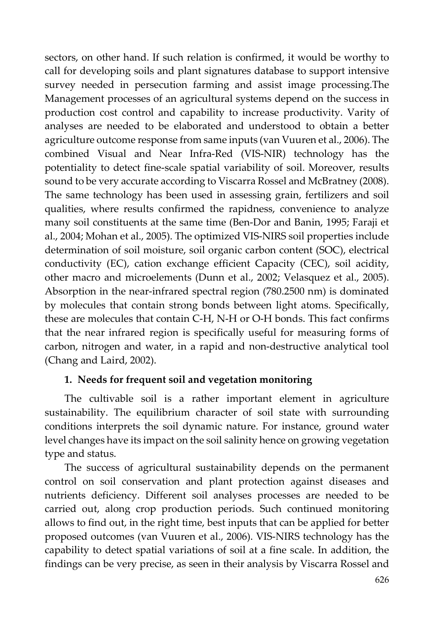sectors, on other hand. If such relation is confirmed, it would be worthy to call for developing soils and plant signatures database to support intensive survey needed in persecution farming and assist image processing.The Management processes of an agricultural systems depend on the success in production cost control and capability to increase productivity. Varity of analyses are needed to be elaborated and understood to obtain a better agriculture outcome response from same inputs (van Vuuren et al., 2006). The combined Visual and Near Infra-Red (VIS-NIR) technology has the potentiality to detect fine-scale spatial variability of soil. Moreover, results sound to be very accurate according to Viscarra Rossel and McBratney (2008). The same technology has been used in assessing grain, fertilizers and soil qualities, where results confirmed the rapidness, convenience to analyze many soil constituents at the same time (Ben-Dor and Banin, 1995; Faraji et al., 2004; Mohan et al., 2005). The optimized VIS-NIRS soil properties include determination of soil moisture, soil organic carbon content (SOC), electrical conductivity (EC), cation exchange efficient Capacity (CEC), soil acidity, other macro and microelements (Dunn et al., 2002; Velasquez et al., 2005). Absorption in the near-infrared spectral region (780.2500 nm) is dominated by molecules that contain strong bonds between light atoms. Specifically, these are molecules that contain C-H, N-H or O-H bonds. This fact confirms that the near infrared region is specifically useful for measuring forms of carbon, nitrogen and water, in a rapid and non-destructive analytical tool (Chang and Laird, 2002).

### **1. Needs for frequent soil and vegetation monitoring**

The cultivable soil is a rather important element in agriculture sustainability. The equilibrium character of soil state with surrounding conditions interprets the soil dynamic nature. For instance, ground water level changes have its impact on the soil salinity hence on growing vegetation type and status.

The success of agricultural sustainability depends on the permanent control on soil conservation and plant protection against diseases and nutrients deficiency. Different soil analyses processes are needed to be carried out, along crop production periods. Such continued monitoring allows to find out, in the right time, best inputs that can be applied for better proposed outcomes (van Vuuren et al., 2006). VIS-NIRS technology has the capability to detect spatial variations of soil at a fine scale. In addition, the findings can be very precise, as seen in their analysis by Viscarra Rossel and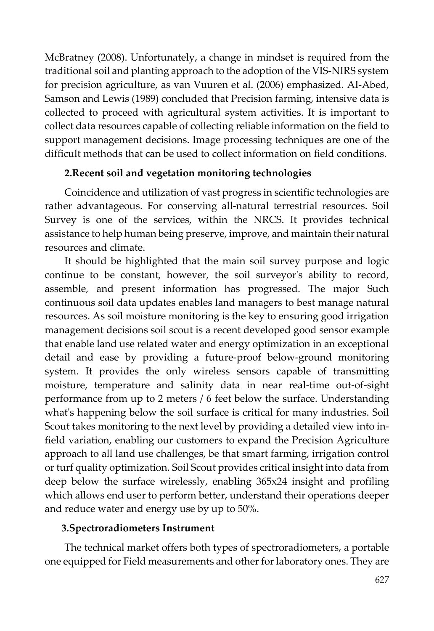McBratney (2008). Unfortunately, a change in mindset is required from the traditional soil and planting approach to the adoption of the VIS-NIRS system for precision agriculture, as van Vuuren et al. (2006) emphasized. AI-Abed, Samson and Lewis (1989) concluded that Precision farming, intensive data is collected to proceed with agricultural system activities. It is important to collect data resources capable of collecting reliable information on the field to support management decisions. Image processing techniques are one of the difficult methods that can be used to collect information on field conditions.

#### **2.Recent soil and vegetation monitoring technologies**

Coincidence and utilization of vast progress in scientific technologies are rather advantageous. For conserving all-natural terrestrial resources. Soil Survey is one of the services, within the NRCS. It provides technical assistance to help human being preserve, improve, and maintain their natural resources and climate.

It should be highlighted that the main soil survey purpose and logic continue to be constant, however, the soil surveyor's ability to record, assemble, and present information has progressed. The major Such continuous soil data updates enables land managers to best manage natural resources. As soil moisture monitoring is the key to ensuring good irrigation management decisions soil scout is a recent developed good sensor example that enable land use related water and energy optimization in an exceptional detail and ease by providing a future-proof below-ground monitoring system. It provides the only wireless sensors capable of transmitting moisture, temperature and salinity data in near real-time out-of-sight performance from up to 2 meters / 6 feet below the surface. Understanding what's happening below the soil surface is critical for many industries. Soil Scout takes monitoring to the next level by providing a detailed view into infield variation, enabling our customers to expand the Precision Agriculture approach to all land use challenges, be that smart farming, irrigation control or turf quality optimization. Soil Scout provides critical insight into data from deep below the surface wirelessly, enabling 365x24 insight and profiling which allows end user to perform better, understand their operations deeper and reduce water and energy use by up to 50%.

### **3.Spectroradiometers Instrument**

The technical market offers both types of spectroradiometers, a portable one equipped for Field measurements and other for laboratory ones. They are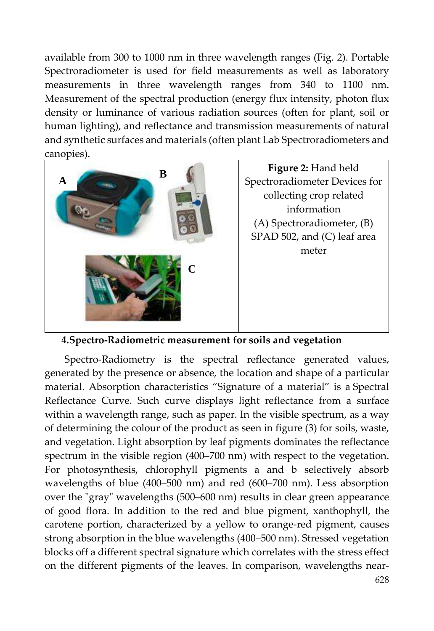available from 300 to 1000 nm in three wavelength ranges (Fig. 2). Portable Spectroradiometer is used for field measurements as well as laboratory measurements in three wavelength ranges from 340 to 1100 nm. Measurement of the spectral production (energy flux intensity, photon flux density or luminance of various radiation sources (often for plant, soil or human lighting), and reflectance and transmission measurements of natural and synthetic surfaces and materials (often plant Lab Spectroradiometers and canopies).



**Figure 2:** Hand held Spectroradiometer Devices for collecting crop related information (A) Spectroradiometer, (B) SPAD 502, and (C) leaf area meter

#### **4.Spectro-Radiometric measurement for soils and vegetation**

Spectro-Radiometry is the spectral reflectance generated values, generated by the presence or absence, the location and shape of a particular material. Absorption characteristics "Signature of a material" is a Spectral Reflectance Curve. Such curve displays light reflectance from a surface within a wavelength range, such as paper. In the visible spectrum, as a way of determining the colour of the product as seen in figure (3) for soils, waste, and vegetation. Light absorption by leaf pigments dominates the reflectance spectrum in the visible region (400–700 nm) with respect to the vegetation. For photosynthesis, chlorophyll pigments a and b selectively absorb wavelengths of blue (400–500 nm) and red (600–700 nm). Less absorption over the "gray" wavelengths (500–600 nm) results in clear green appearance of good flora. In addition to the red and blue pigment, xanthophyll, the carotene portion, characterized by a yellow to orange-red pigment, causes strong absorption in the blue wavelengths (400–500 nm). Stressed vegetation blocks off a different spectral signature which correlates with the stress effect on the different pigments of the leaves. In comparison, wavelengths near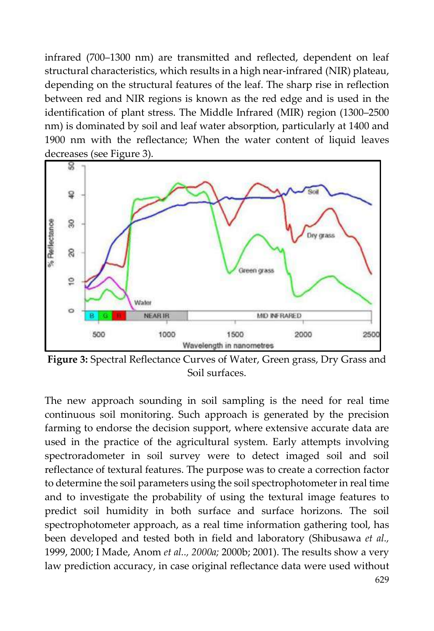infrared (700–1300 nm) are transmitted and reflected, dependent on leaf structural characteristics, which results in a high near-infrared (NIR) plateau, depending on the structural features of the leaf. The sharp rise in reflection between red and NIR regions is known as the red edge and is used in the identification of plant stress. The Middle Infrared (MIR) region (1300–2500 nm) is dominated by soil and leaf water absorption, particularly at 1400 and 1900 nm with the reflectance; When the water content of liquid leaves decreases (see Figure 3).



**Figure 3:** Spectral Reflectance Curves of Water, Green grass, Dry Grass and Soil surfaces.

The new approach sounding in soil sampling is the need for real time continuous soil monitoring. Such approach is generated by the precision farming to endorse the decision support, where extensive accurate data are used in the practice of the agricultural system. Early attempts involving spectroradometer in soil survey were to detect imaged soil and soil reflectance of textural features. The purpose was to create a correction factor to determine the soil parameters using the soil spectrophotometer in real time and to investigate the probability of using the textural image features to predict soil humidity in both surface and surface horizons. The soil spectrophotometer approach, as a real time information gathering tool, has been developed and tested both in field and laboratory (Shibusawa *et al.,*  1999, 2000; I Made, Anom *et al.., 2000a;* 2000b; 2001). The results show a very law prediction accuracy, in case original reflectance data were used without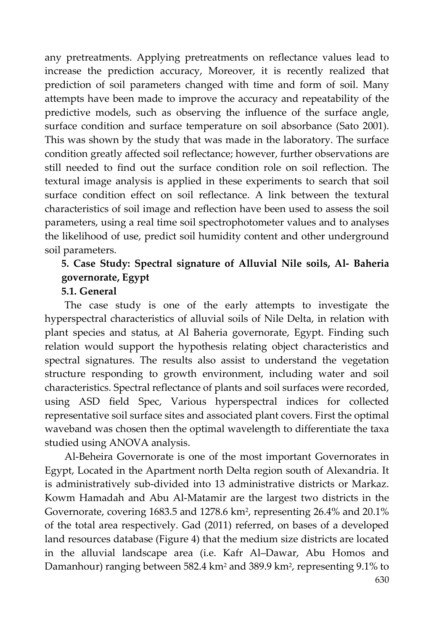any pretreatments. Applying pretreatments on reflectance values lead to increase the prediction accuracy, Moreover, it is recently realized that prediction of soil parameters changed with time and form of soil. Many attempts have been made to improve the accuracy and repeatability of the predictive models, such as observing the influence of the surface angle, surface condition and surface temperature on soil absorbance (Sato 2001). This was shown by the study that was made in the laboratory. The surface condition greatly affected soil reflectance; however, further observations are still needed to find out the surface condition role on soil reflection. The textural image analysis is applied in these experiments to search that soil surface condition effect on soil reflectance. A link between the textural characteristics of soil image and reflection have been used to assess the soil parameters, using a real time soil spectrophotometer values and to analyses the likelihood of use, predict soil humidity content and other underground soil parameters.

# **5. Case Study: Spectral signature of Alluvial Nile soils, Al- Baheria governorate, Egypt**

#### **5.1. General**

The case study is one of the early attempts to investigate the hyperspectral characteristics of alluvial soils of Nile Delta, in relation with plant species and status, at Al Baheria governorate, Egypt. Finding such relation would support the hypothesis relating object characteristics and spectral signatures. The results also assist to understand the vegetation structure responding to growth environment, including water and soil characteristics. Spectral reflectance of plants and soil surfaces were recorded, using ASD field Spec, Various hyperspectral indices for collected representative soil surface sites and associated plant covers. First the optimal waveband was chosen then the optimal wavelength to differentiate the taxa studied using ANOVA analysis.

Al-Beheira Governorate is one of the most important Governorates in Egypt, Located in the Apartment north Delta region south of Alexandria. It is administratively sub-divided into 13 administrative districts or Markaz. Kowm Hamadah and Abu Al-Matamir are the largest two districts in the Governorate, covering 1683.5 and 1278.6 km2, representing 26.4% and 20.1% of the total area respectively. Gad (2011) referred, on bases of a developed land resources database (Figure 4) that the medium size districts are located in the alluvial landscape area (i.e. Kafr Al–Dawar, Abu Homos and Damanhour) ranging between 582.4 km2 and 389.9 km2, representing 9.1% to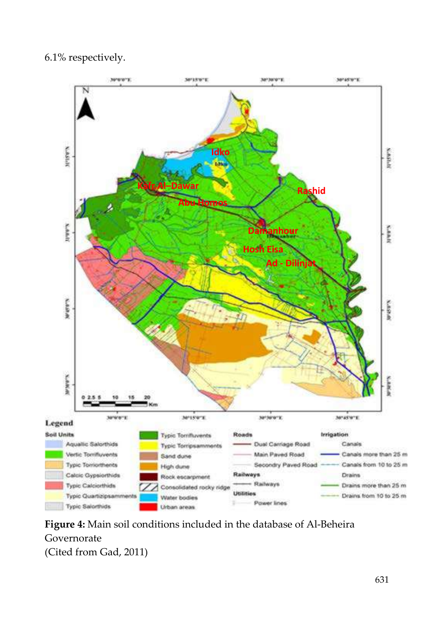#### 6.1% respectively.



**Figure 4:** Main soil conditions included in the database of Al-Beheira Governorate (Cited from Gad, 2011)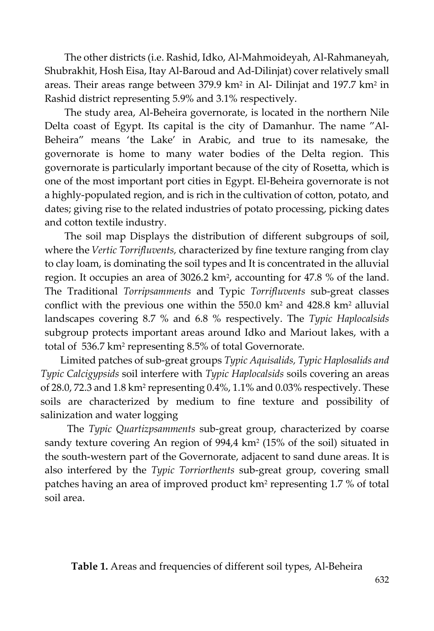The other districts (i.e. Rashid, Idko, Al-Mahmoideyah, Al-Rahmaneyah, Shubrakhit, Hosh Eisa, Itay Al-Baroud and Ad-Dilinjat) cover relatively small areas. Their areas range between 379.9 km<sup>2</sup> in Al- Dilinjat and 197.7 km<sup>2</sup> in Rashid district representing 5.9% and 3.1% respectively.

The study area, Al-Beheira governorate, is located in the northern Nile Delta coast of Egypt. Its capital is the city of Damanhur. The name "Al-Beheira" means 'the Lake' in Arabic, and true to its namesake, the governorate is home to many water bodies of the Delta region. This governorate is particularly important because of the city of Rosetta, which is one of the most important port cities in Egypt. El-Beheira governorate is not a highly-populated region, and is rich in the cultivation of cotton, potato, and dates; giving rise to the related industries of potato processing, picking dates and cotton textile industry.

The soil map Displays the distribution of different subgroups of soil, where the *Vertic Torrifluvents,* characterized by fine texture ranging from clay to clay loam, is dominating the soil types and It is concentrated in the alluvial region. It occupies an area of 3026.2 km2, accounting for 47.8 % of the land. The Traditional *Torripsamments* and Typic *Torrifluvents* sub-great classes conflict with the previous one within the 550.0 km2 and 428.8 km2 alluvial landscapes covering 8.7 % and 6.8 % respectively. The *Typic Haplocalsids* subgroup protects important areas around Idko and Mariout lakes, with a total of 536.7 km2 representing 8.5% of total Governorate.

Limited patches of sub-great groups *Typic Aquisalids, Typic Haplosalids and Typic Calcigypsids* soil interfere with *Typic Haplocalsids* soils covering an areas of  $28.0$ ,  $72.3$  and  $1.8$  km<sup>2</sup> representing  $0.4\%$ ,  $1.1\%$  and  $0.03\%$  respectively. These soils are characterized by medium to fine texture and possibility of salinization and water logging

The *Typic Quartizpsamments* sub-great group, characterized by coarse sandy texture covering An region of 994,4 km2 (15% of the soil) situated in the south-western part of the Governorate, adjacent to sand dune areas. It is also interfered by the *Typic Torriorthents* sub-great group, covering small patches having an area of improved product km2 representing 1.7 % of total soil area.

**Table 1.** Areas and frequencies of different soil types, Al-Beheira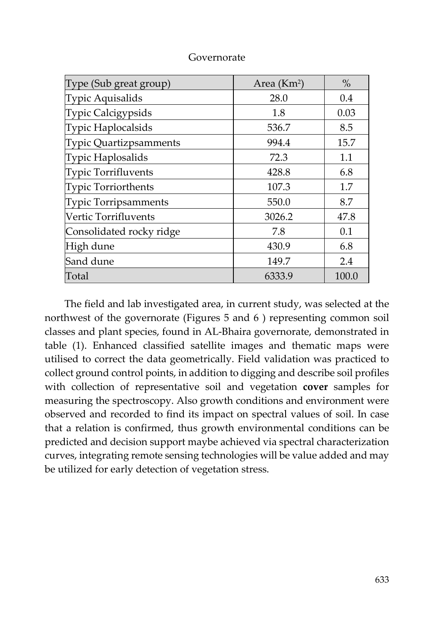| Type (Sub great group)     | Area $(Km2)$ | $\%$  |
|----------------------------|--------------|-------|
| Typic Aquisalids           | 28.0         | 0.4   |
| Typic Calcigypsids         | 1.8          | 0.03  |
| Typic Haplocalsids         | 536.7        | 8.5   |
| Typic Quartizpsamments     | 994.4        | 15.7  |
| Typic Haplosalids          | 72.3         | 1.1   |
| <b>Typic Torrifluvents</b> | 428.8        | 6.8   |
| Typic Torriorthents        | 107.3        | 1.7   |
| Typic Torripsamments       | 550.0        | 8.7   |
| Vertic Torrifluvents       | 3026.2       | 47.8  |
| Consolidated rocky ridge   | 7.8          | 0.1   |
| High dune                  | 430.9        | 6.8   |
| Sand dune                  | 149.7        | 2.4   |
| Total                      | 6333.9       | 100.0 |

#### Governorate

The field and lab investigated area, in current study, was selected at the northwest of the governorate (Figures 5 and 6 ) representing common soil classes and plant species, found in AL-Bhaira governorate, demonstrated in table (1). Enhanced classified satellite images and thematic maps were utilised to correct the data geometrically. Field validation was practiced to collect ground control points, in addition to digging and describe soil profiles with collection of representative soil and vegetation **cover** samples for measuring the spectroscopy. Also growth conditions and environment were observed and recorded to find its impact on spectral values of soil. In case that a relation is confirmed, thus growth environmental conditions can be predicted and decision support maybe achieved via spectral characterization curves, integrating remote sensing technologies will be value added and may be utilized for early detection of vegetation stress.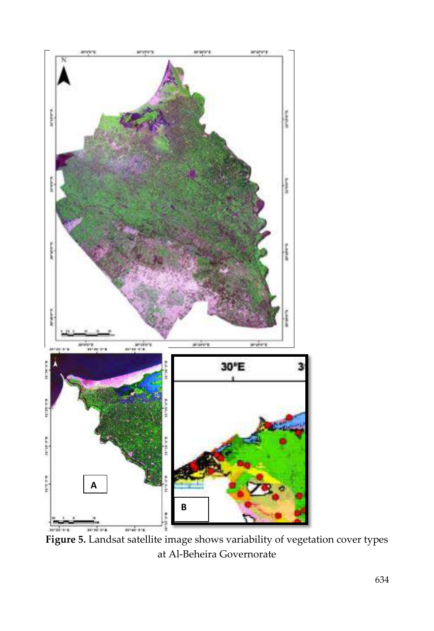

Figure 5. Landsat satellite image shows variability of vegetation cover types at Al-Beheira Governorate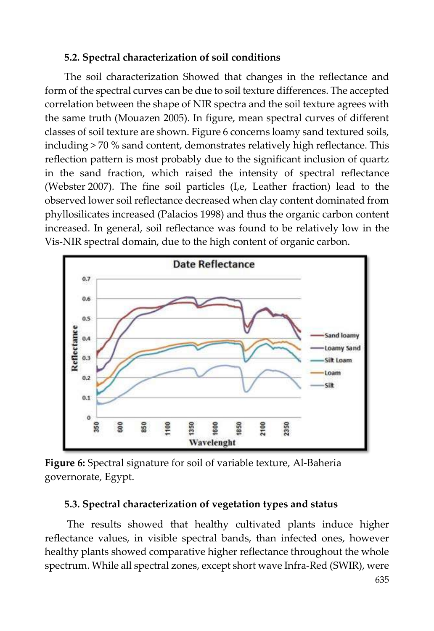#### **5.2. Spectral characterization of soil conditions**

The soil characterization Showed that changes in the reflectance and form of the spectral curves can be due to soil texture differences. The accepted correlation between the shape of NIR spectra and the soil texture agrees with the same truth (Mouazen 2005). In figure, mean spectral curves of different classes of soil texture are shown. Figure 6 concerns loamy sand textured soils, including > 70 % sand content, demonstrates relatively high reflectance. This reflection pattern is most probably due to the significant inclusion of quartz in the sand fraction, which raised the intensity of spectral reflectance (Webster 2007). The fine soil particles (I,e, Leather fraction) lead to the observed lower soil reflectance decreased when clay content dominated from phyllosilicates increased (Palacios 1998) and thus the organic carbon content increased. In general, soil reflectance was found to be relatively low in the Vis-NIR spectral domain, due to the high content of organic carbon.



**Figure 6:** Spectral signature for soil of variable texture, Al-Baheria governorate, Egypt.

#### **5.3. Spectral characterization of vegetation types and status**

The results showed that healthy cultivated plants induce higher reflectance values, in visible spectral bands, than infected ones, however healthy plants showed comparative higher reflectance throughout the whole spectrum. While all spectral zones, except short wave Infra-Red (SWIR), were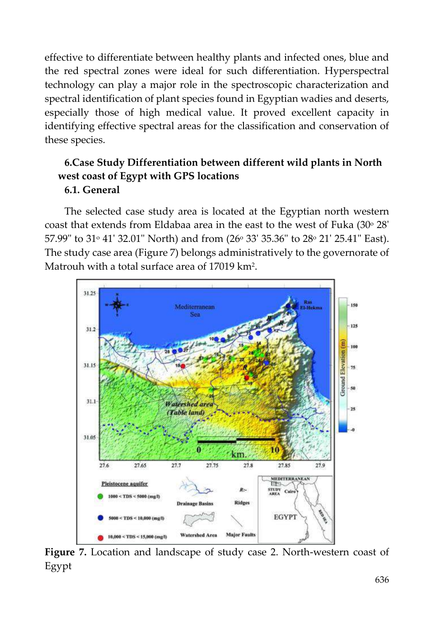effective to differentiate between healthy plants and infected ones, blue and the red spectral zones were ideal for such differentiation. Hyperspectral technology can play a major role in the spectroscopic characterization and spectral identification of plant species found in Egyptian wadies and deserts, especially those of high medical value. It proved excellent capacity in identifying effective spectral areas for the classification and conservation of these species.

## **6.Case Study Differentiation between different wild plants in North west coast of Egypt with GPS locations 6.1. General**

The selected case study area is located at the Egyptian north western coast that extends from Eldabaa area in the east to the west of Fuka  $(30° 28'$ 57.99" to 31° 41' 32.01" North) and from (26° 33' 35.36" to 28° 21' 25.41" East). The study case area (Figure 7) belongs administratively to the governorate of Matrouh with a total surface area of 17019 km2.



**Figure 7.** Location and landscape of study case 2. North-western coast of Egypt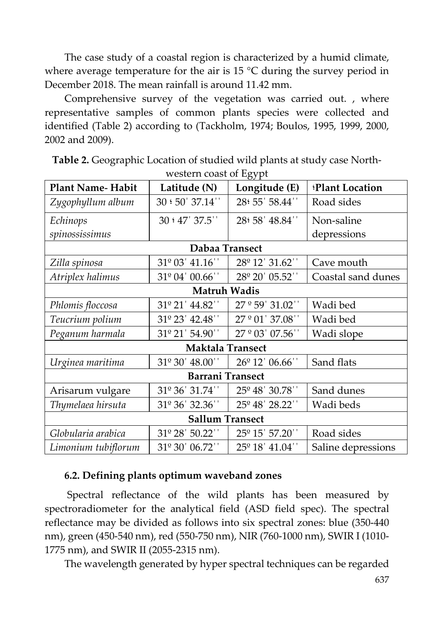The case study of a coastal region is characterized by a humid climate, where average temperature for the air is  $15 \text{ °C}$  during the survey period in December 2018. The mean rainfall is around 11.42 mm.

Comprehensive survey of the vegetation was carried out. , where representative samples of common plants species were collected and identified (Table 2) according to (Tackholm, 1974; Boulos, 1995, 1999, 2000, 2002 and 2009).

|                         |                            | יז נס־                      |                    |  |
|-------------------------|----------------------------|-----------------------------|--------------------|--|
| <b>Plant Name-Habit</b> | Latitude (N)               | Longitude (E)               | Plant Location     |  |
| Zygophyllum album       | 30:50'37.14"               | 28: 55' 58.44"              | Road sides         |  |
| Echinops                | 30:47' 37.5''              | 28: 58' 48.84''             | Non-saline         |  |
| spinossissimus          |                            |                             | depressions        |  |
| Dabaa Transect          |                            |                             |                    |  |
| Zilla spinosa           | 31º 03' 41.16"             | 28 <sup>°</sup> 12' 31.62"  | Cave mouth         |  |
| Atriplex halimus        | 31º 04' 00.66''            | 28 <sup>°</sup> 20' 05.52"  | Coastal sand dunes |  |
|                         | <b>Matruh Wadis</b>        |                             |                    |  |
| Phlomis floccosa        | 31º 21' 44.82''            | 27 ° 59' 31.02"             | Wadi bed           |  |
| Teucrium polium         | 31º 23' 42.48''            | 27 ° 01' 37.08"             | Wadi bed           |  |
| Peganum harmala         | 31º 21' 54.90"             | $27^{\circ}03'07.56'$       | Wadi slope         |  |
|                         | <b>Maktala Transect</b>    |                             |                    |  |
| Urginea maritima        | 31 <sup>°</sup> 30' 48.00" | 26 <sup>°</sup> 12' 06.66'' | Sand flats         |  |
| <b>Barrani Transect</b> |                            |                             |                    |  |
| Arisarum vulgare        | 31º 36' 31.74''            | 25 <sup>°</sup> 48' 30.78"  | Sand dunes         |  |
| Thymelaea hirsuta       | 31º 36' 32.36''            | 25 <sup>°</sup> 48' 28.22'' | Wadi beds          |  |
| <b>Sallum Transect</b>  |                            |                             |                    |  |
| Globularia arabica      | 31º 28' 50.22''            | 25 <sup>°</sup> 15' 57.20"  | Road sides         |  |
| Limonium tubiflorum     | 31º 30' 06.72''            | 25 <sup>°</sup> 18' 41.04"  | Saline depressions |  |

**Table 2.** Geographic Location of studied wild plants at study case Northwestern coast of Egypt

### **6.2. Defining plants optimum waveband zones**

Spectral reflectance of the wild plants has been measured by spectroradiometer for the analytical field (ASD field spec). The spectral reflectance may be divided as follows into six spectral zones: blue (350-440 nm), green (450-540 nm), red (550-750 nm), NIR (760-1000 nm), SWIR I (1010- 1775 nm), and SWIR II (2055-2315 nm).

The wavelength generated by hyper spectral techniques can be regarded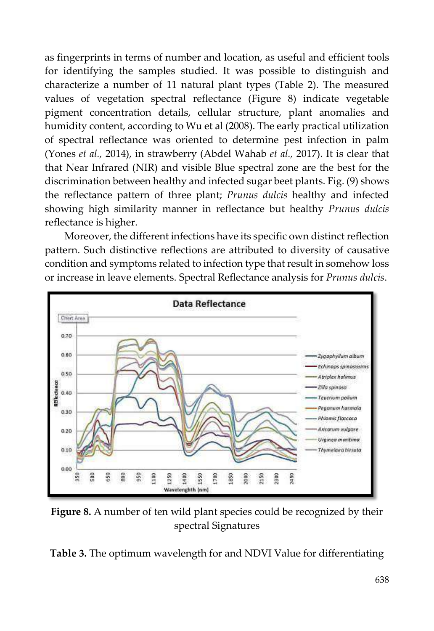as fingerprints in terms of number and location, as useful and efficient tools for identifying the samples studied. It was possible to distinguish and characterize a number of 11 natural plant types (Table 2). The measured values of vegetation spectral reflectance (Figure 8) indicate vegetable pigment concentration details, cellular structure, plant anomalies and humidity content, according to Wu et al (2008). The early practical utilization of spectral reflectance was oriented to determine pest infection in palm (Yones *et al.,* 2014), in strawberry (Abdel Wahab *et al.,* 2017). It is clear that that Near Infrared (NIR) and visible Blue spectral zone are the best for the discrimination between healthy and infected sugar beet plants. Fig. (9) shows the reflectance pattern of three plant; *Prunus dulcis* healthy and infected showing high similarity manner in reflectance but healthy *Prunus dulcis* reflectance is higher.

Moreover, the different infections have its specific own distinct reflection pattern. Such distinctive reflections are attributed to diversity of causative condition and symptoms related to infection type that result in somehow loss or increase in leave elements. Spectral Reflectance analysis for *Prunus dulcis*.



**Figure 8.** A number of ten wild plant species could be recognized by their spectral Signatures

**Table 3.** The optimum wavelength for and NDVI Value for differentiating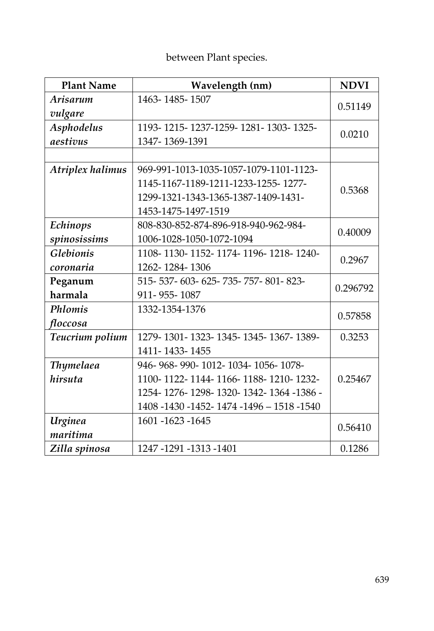# between Plant species.

| <b>Plant Name</b> | Wavelength (nm)                           | <b>NDVI</b> |  |
|-------------------|-------------------------------------------|-------------|--|
| Arisarum          | 1463-1485-1507                            |             |  |
| vulgare           |                                           | 0.51149     |  |
| <b>Asphodelus</b> | 1193-1215-1237-1259-1281-1303-1325-       |             |  |
| aestivus          | 1347-1369-1391                            | 0.0210      |  |
|                   |                                           |             |  |
| Atriplex halimus  | 969-991-1013-1035-1057-1079-1101-1123-    |             |  |
|                   | 1145-1167-1189-1211-1233-1255-1277-       | 0.5368      |  |
|                   | 1299-1321-1343-1365-1387-1409-1431-       |             |  |
|                   | 1453-1475-1497-1519                       |             |  |
| Echinops          | 808-830-852-874-896-918-940-962-984-      | 0.40009     |  |
| spinosissims      | 1006-1028-1050-1072-1094                  |             |  |
| <b>Glebionis</b>  | 1108-1130-1152-1174-1196-1218-1240-       |             |  |
| coronaria         | 1262-1284-1306                            | 0.2967      |  |
| Peganum           | 515-537-603-625-735-757-801-823-          | 0.296792    |  |
| harmala           | 911-955-1087                              |             |  |
| Phlomis           | 1332-1354-1376                            | 0.57858     |  |
| floccosa          |                                           |             |  |
| Teucrium polium   | 1279-1301-1323-1345-1345-1367-1389-       | 0.3253      |  |
|                   | 1411-1433-1455                            |             |  |
| Thymelaea         | 946-968-990-1012-1034-1056-1078-          |             |  |
| hirsuta           | 1100-1122-1144-1166-1188-1210-1232-       | 0.25467     |  |
|                   | 1254-1276-1298-1320-1342-1364-1386-       |             |  |
|                   | 1408 -1430 -1452- 1474 -1496 - 1518 -1540 |             |  |
| Urginea           | 1601-1623-1645                            | 0.56410     |  |
| maritima          |                                           |             |  |
| Zilla spinosa     | 1247-1291-1313-1401                       | 0.1286      |  |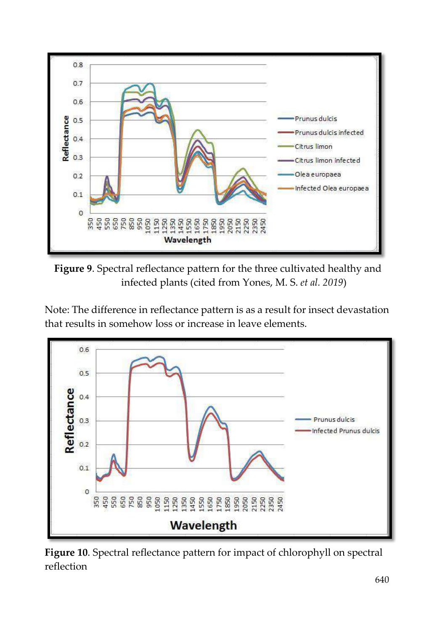



Note: The difference in reflectance pattern is as a result for insect devastation that results in somehow loss or increase in leave elements.



**Figure 10**. Spectral reflectance pattern for impact of chlorophyll on spectral reflection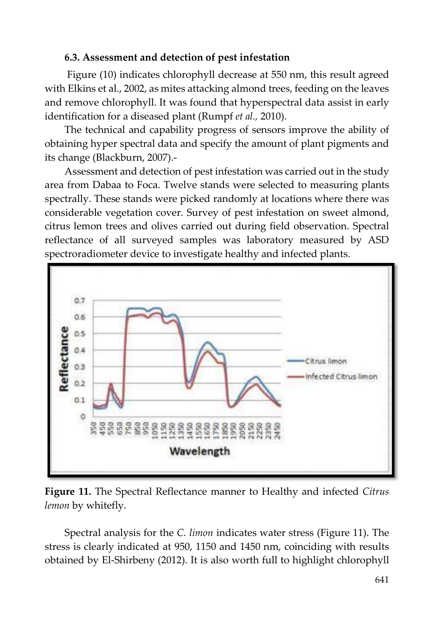#### **6.3. Assessment and detection of pest infestation**

Figure (10) indicates chlorophyll decrease at 550 nm, this result agreed with Elkins et al., 2002, as mites attacking almond trees, feeding on the leaves and remove chlorophyll. It was found that hyperspectral data assist in early identification for a diseased plant (Rumpf *et al.,* 2010).

The technical and capability progress of sensors improve the ability of obtaining hyper spectral data and specify the amount of plant pigments and its change (Blackburn, 2007).-

Assessment and detection of pest infestation was carried out in the study area from Dabaa to Foca. Twelve stands were selected to measuring plants spectrally. These stands were picked randomly at locations where there was considerable vegetation cover. Survey of pest infestation on sweet almond, citrus lemon trees and olives carried out during field observation. Spectral reflectance of all surveyed samples was laboratory measured by ASD spectroradiometer device to investigate healthy and infected plants.



**Figure 11.** The Spectral Reflectance manner to Healthy and infected *Citrus lemon* by whitefly.

Spectral analysis for the *C. limon* indicates water stress (Figure 11). The stress is clearly indicated at 950, 1150 and 1450 nm, coinciding with results obtained by El-Shirbeny (2012). It is also worth full to highlight chlorophyll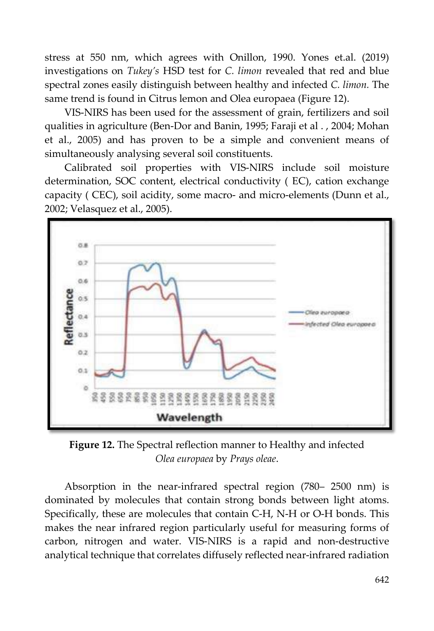stress at 550 nm, which agrees with Onillon, 1990. Yones et.al. (2019) investigations on *Tukey's* HSD test for *C. limon* revealed that red and blue spectral zones easily distinguish between healthy and infected *C. limon.* The same trend is found in Citrus lemon and Olea europaea (Figure 12).

VIS-NIRS has been used for the assessment of grain, fertilizers and soil qualities in agriculture (Ben-Dor and Banin, 1995; Faraji et al . , 2004; Mohan et al., 2005) and has proven to be a simple and convenient means of simultaneously analysing several soil constituents.

Calibrated soil properties with VIS-NIRS include soil moisture determination, SOC content, electrical conductivity ( EC), cation exchange capacity ( CEC), soil acidity, some macro- and micro-elements (Dunn et al., 2002; Velasquez et al., 2005).



**Figure 12.** The Spectral reflection manner to Healthy and infected *Olea europaea* by *Prays oleae*.

Absorption in the near-infrared spectral region (780– 2500 nm) is dominated by molecules that contain strong bonds between light atoms. Specifically, these are molecules that contain C-H, N-H or O-H bonds. This makes the near infrared region particularly useful for measuring forms of carbon, nitrogen and water. VIS-NIRS is a rapid and non-destructive analytical technique that correlates diffusely reflected near-infrared radiation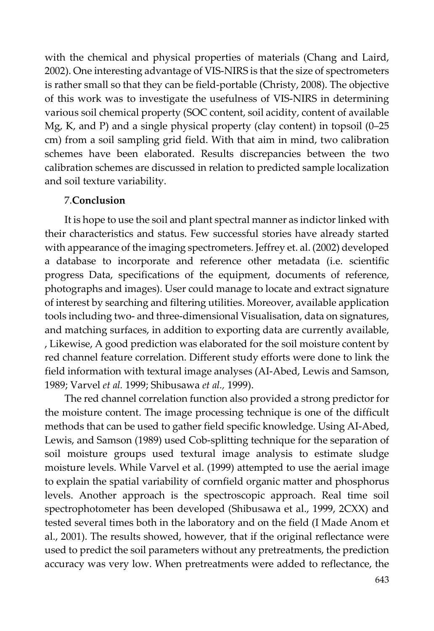with the chemical and physical properties of materials (Chang and Laird, 2002). One interesting advantage of VIS-NIRS is that the size of spectrometers is rather small so that they can be field-portable (Christy, 2008). The objective of this work was to investigate the usefulness of VIS-NIRS in determining various soil chemical property (SOC content, soil acidity, content of available Mg, K, and P) and a single physical property (clay content) in topsoil (0–25 cm) from a soil sampling grid field. With that aim in mind, two calibration schemes have been elaborated. Results discrepancies between the two calibration schemes are discussed in relation to predicted sample localization and soil texture variability.

#### 7.**Conclusion**

It is hope to use the soil and plant spectral manner as indictor linked with their characteristics and status. Few successful stories have already started with appearance of the imaging spectrometers. Jeffrey et. al. (2002) developed a database to incorporate and reference other metadata (i.e. scientific progress Data, specifications of the equipment, documents of reference, photographs and images). User could manage to locate and extract signature of interest by searching and filtering utilities. Moreover, available application tools including two- and three-dimensional Visualisation, data on signatures, and matching surfaces, in addition to exporting data are currently available, , Likewise, A good prediction was elaborated for the soil moisture content by red channel feature correlation. Different study efforts were done to link the field information with textural image analyses (AI-Abed, Lewis and Samson, 1989; Varvel *et al.* 1999; Shibusawa *et al.,* 1999).

The red channel correlation function also provided a strong predictor for the moisture content. The image processing technique is one of the difficult methods that can be used to gather field specific knowledge. Using AI-Abed, Lewis, and Samson (1989) used Cob-splitting technique for the separation of soil moisture groups used textural image analysis to estimate sludge moisture levels. While Varvel et al. (1999) attempted to use the aerial image to explain the spatial variability of cornfield organic matter and phosphorus levels. Another approach is the spectroscopic approach. Real time soil spectrophotometer has been developed (Shibusawa et al., 1999, 2CXX) and tested several times both in the laboratory and on the field (I Made Anom et al., 2001). The results showed, however, that if the original reflectance were used to predict the soil parameters without any pretreatments, the prediction accuracy was very low. When pretreatments were added to reflectance, the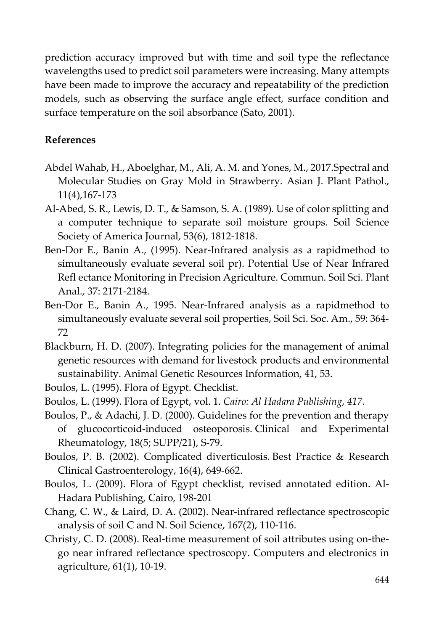prediction accuracy improved but with time and soil type the reflectance wavelengths used to predict soil parameters were increasing. Many attempts have been made to improve the accuracy and repeatability of the prediction models, such as observing the surface angle effect, surface condition and surface temperature on the soil absorbance (Sato, 2001).

### **References**

- Abdel Wahab, H., Aboelghar, M., Ali, A. M. and Yones, M., 2017.Spectral and Molecular Studies on Gray Mold in Strawberry. Asian J. Plant Pathol., 11(4),167-173
- Al-Abed, S. R., Lewis, D. T., & Samson, S. A. (1989). Use of color splitting and a computer technique to separate soil moisture groups. Soil Science Society of America Journal, 53(6), 1812-1818.
- Ben-Dor E., Banin A., (1995). Near-Infrared analysis as a rapidmethod to simultaneously evaluate several soil pr). Potential Use of Near Infrared Refl ectance Monitoring in Precision Agriculture. Commun. Soil Sci. Plant Anal., 37: 2171-2184.
- Ben-Dor E., Banin A., 1995. Near-Infrared analysis as a rapidmethod to simultaneously evaluate several soil properties, Soil Sci. Soc. Am., 59: 364- 72
- Blackburn, H. D. (2007). Integrating policies for the management of animal genetic resources with demand for livestock products and environmental sustainability. Animal Genetic Resources Information, 41, 53.

Boulos, L. (1995). Flora of Egypt. Checklist.

Boulos, L. (1999). Flora of Egypt, vol. 1. *Cairo: Al Hadara Publishing*, *417*.

- Boulos, P., & Adachi, J. D. (2000). Guidelines for the prevention and therapy of glucocorticoid-induced osteoporosis. Clinical and Experimental Rheumatology, 18(5; SUPP/21), S-79.
- Boulos, P. B. (2002). Complicated diverticulosis. Best Practice & Research Clinical Gastroenterology, 16(4), 649-662.
- Boulos, L. (2009). Flora of Egypt checklist, revised annotated edition. Al-Hadara Publishing, Cairo, 198-201
- Chang, C. W., & Laird, D. A. (2002). Near-infrared reflectance spectroscopic analysis of soil C and N. Soil Science, 167(2), 110-116.
- Christy, C. D. (2008). Real-time measurement of soil attributes using on-thego near infrared reflectance spectroscopy. Computers and electronics in agriculture, 61(1), 10-19.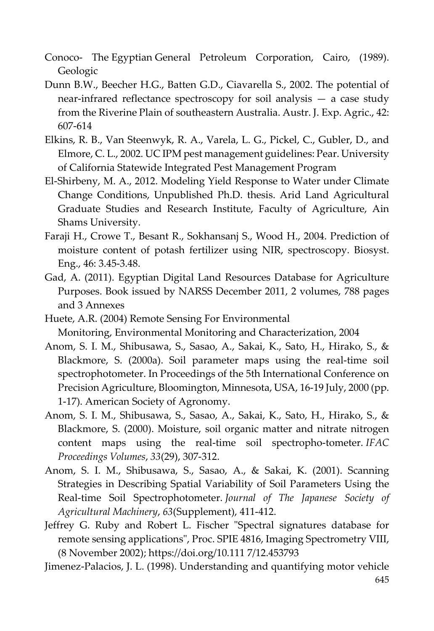- Conoco- The Egyptian General Petroleum Corporation, Cairo, (1989). Geologic
- Dunn B.W., Beecher H.G., Batten G.D., Ciavarella S., 2002. The potential of near-infrared reflectance spectroscopy for soil analysis — a case study from the Riverine Plain of southeastern Australia. Austr. J. Exp. Agric., 42: 607-614
- Elkins, R. B., Van Steenwyk, R. A., Varela, L. G., Pickel, C., Gubler, D., and Elmore, C. L., 2002. UC IPM pest management guidelines: Pear. University of California Statewide Integrated Pest Management Program
- El-Shirbeny, M. A., 2012. Modeling Yield Response to Water under Climate Change Conditions, Unpublished Ph.D. thesis. Arid Land Agricultural Graduate Studies and Research Institute, Faculty of Agriculture, Ain Shams University.
- Faraji H., Crowe T., Besant R., Sokhansanj S., Wood H., 2004. Prediction of moisture content of potash fertilizer using NIR, spectroscopy. Biosyst. Eng., 46: 3.45-3.48.
- Gad, A. (2011). Egyptian Digital Land Resources Database for Agriculture Purposes. Book issued by NARSS December 2011, 2 volumes, 788 pages and 3 Annexes
- Huete, A.R. (2004) Remote Sensing For Environmental Monitoring, Environmental Monitoring and Characterization, 2004
- Anom, S. I. M., Shibusawa, S., Sasao, A., Sakai, K., Sato, H., Hirako, S., & Blackmore, S. (2000a). Soil parameter maps using the real-time soil spectrophotometer. In Proceedings of the 5th International Conference on Precision Agriculture, Bloomington, Minnesota, USA, 16-19 July, 2000 (pp. 1-17). American Society of Agronomy.
- Anom, S. I. M., Shibusawa, S., Sasao, A., Sakai, K., Sato, H., Hirako, S., & Blackmore, S. (2000). Moisture, soil organic matter and nitrate nitrogen content maps using the real-time soil spectropho-tometer. *IFAC Proceedings Volumes*, *33*(29), 307-312.
- Anom, S. I. M., Shibusawa, S., Sasao, A., & Sakai, K. (2001). Scanning Strategies in Describing Spatial Variability of Soil Parameters Using the Real-time Soil Spectrophotometer. *Journal of The Japanese Society of Agricultural Machinery*, *63*(Supplement), 411-412.
- Jeffrey G. Ruby and Robert L. Fischer "Spectral signatures database for remote sensing applications", Proc. SPIE 4816, Imaging Spectrometry VIII, (8 November 2002); https://doi.org/10.111 7/12.453793
- 645 Jimenez-Palacios, J. L. (1998). Understanding and quantifying motor vehicle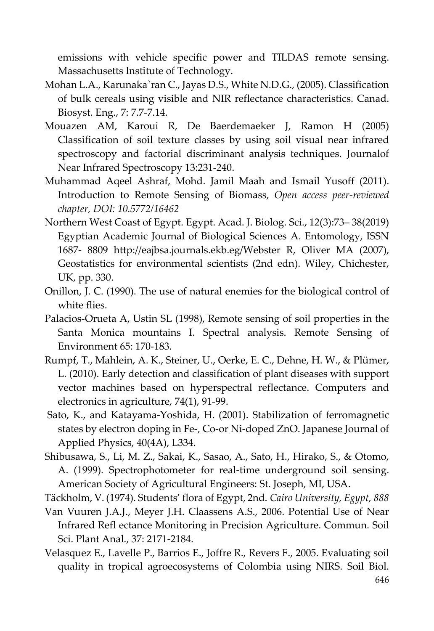emissions with vehicle specific power and TILDAS remote sensing. Massachusetts Institute of Technology.

- Mohan L.A., Karunaka`ran C., Jayas D.S., White N.D.G., (2005). Classification of bulk cereals using visible and NIR reflectance characteristics. Canad. Biosyst. Eng., 7: 7.7-7.14.
- Mouazen AM, Karoui R, De Baerdemaeker J, Ramon H (2005) Classification of soil texture classes by using soil visual near infrared spectroscopy and factorial discriminant analysis techniques. Journalof Near Infrared Spectroscopy 13:231-240.
- Muhammad Aqeel Ashraf, Mohd. Jamil Maah and Ismail Yusoff (2011). Introduction to Remote Sensing of Biomass, *Open access peer-reviewed chapter, DOI: 10.5772/16462*
- Northern West Coast of Egypt. Egypt. Acad. J. Biolog. Sci., 12(3):73– 38(2019) Egyptian Academic Journal of Biological Sciences A. Entomology, ISSN 1687- 8809 http://eajbsa.journals.ekb.eg/Webster R, Oliver MA (2007), Geostatistics for environmental scientists (2nd edn). Wiley, Chichester, UK, pp. 330.
- Onillon, J. C. (1990). The use of natural enemies for the biological control of white flies.
- Palacios-Orueta A, Ustin SL (1998), Remote sensing of soil properties in the Santa Monica mountains I. Spectral analysis. Remote Sensing of Environment 65: 170-183.
- Rumpf, T., Mahlein, A. K., Steiner, U., Oerke, E. C., Dehne, H. W., & Plümer, L. (2010). Early detection and classification of plant diseases with support vector machines based on hyperspectral reflectance. Computers and electronics in agriculture, 74(1), 91-99.
- Sato, K., and Katayama-Yoshida, H. (2001). Stabilization of ferromagnetic states by electron doping in Fe-, Co-or Ni-doped ZnO. Japanese Journal of Applied Physics, 40(4A), L334.
- Shibusawa, S., Li, M. Z., Sakai, K., Sasao, A., Sato, H., Hirako, S., & Otomo, A. (1999). Spectrophotometer for real-time underground soil sensing. American Society of Agricultural Engineers: St. Joseph, MI, USA.
- Täckholm, V. (1974). Students' flora of Egypt, 2nd. *Cairo University, Egypt*, *888*
- Van Vuuren J.A.J., Meyer J.H. Claassens A.S., 2006. Potential Use of Near Infrared Refl ectance Monitoring in Precision Agriculture. Commun. Soil Sci. Plant Anal., 37: 2171-2184.
- Velasquez E., Lavelle P., Barrios E., Joffre R., Revers F., 2005. Evaluating soil quality in tropical agroecosystems of Colombia using NIRS. Soil Biol.